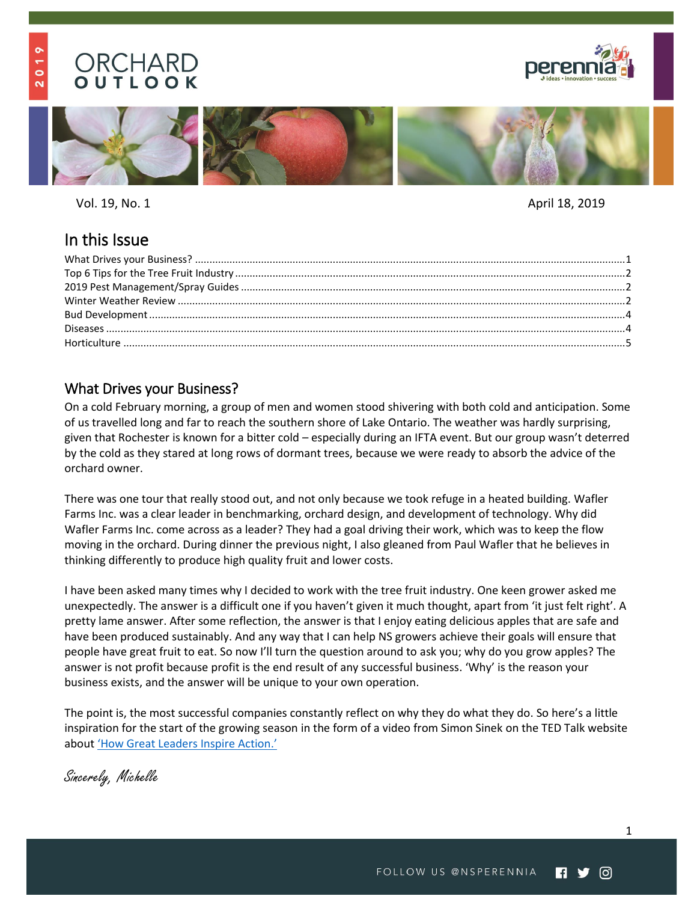### $\bullet$  $\frac{1}{\sigma}$  $\overline{\mathbf{N}}$

# ORCHARD OUTLOOK





Vol. 19, No. 1 April 18, 2019

## In this Issue

## <span id="page-0-0"></span>What Drives your Business?

On a cold February morning, a group of men and women stood shivering with both cold and anticipation. Some of us travelled long and far to reach the southern shore of Lake Ontario. The weather was hardly surprising, given that Rochester is known for a bitter cold – especially during an IFTA event. But our group wasn't deterred by the cold as they stared at long rows of dormant trees, because we were ready to absorb the advice of the orchard owner.

There was one tour that really stood out, and not only because we took refuge in a heated building. Wafler Farms Inc. was a clear leader in benchmarking, orchard design, and development of technology. Why did Wafler Farms Inc. come across as a leader? They had a goal driving their work, which was to keep the flow moving in the orchard. During dinner the previous night, I also gleaned from Paul Wafler that he believes in thinking differently to produce high quality fruit and lower costs.

I have been asked many times why I decided to work with the tree fruit industry. One keen grower asked me unexpectedly. The answer is a difficult one if you haven't given it much thought, apart from 'it just felt right'. A pretty lame answer. After some reflection, the answer is that I enjoy eating delicious apples that are safe and have been produced sustainably. And any way that I can help NS growers achieve their goals will ensure that people have great fruit to eat. So now I'll turn the question around to ask you; why do you grow apples? The answer is not profit because profit is the end result of any successful business. 'Why' is the reason your business exists, and the answer will be unique to your own operation.

The point is, the most successful companies constantly reflect on why they do what they do. So here's a little inspiration for the start of the growing season in the form of a video from Simon Sinek on the TED Talk website about '[How Great Leaders Inspire Action.](https://www.ted.com/talks/simon_sinek_how_great_leaders_inspire_action)'

Sincerely, Michelle

1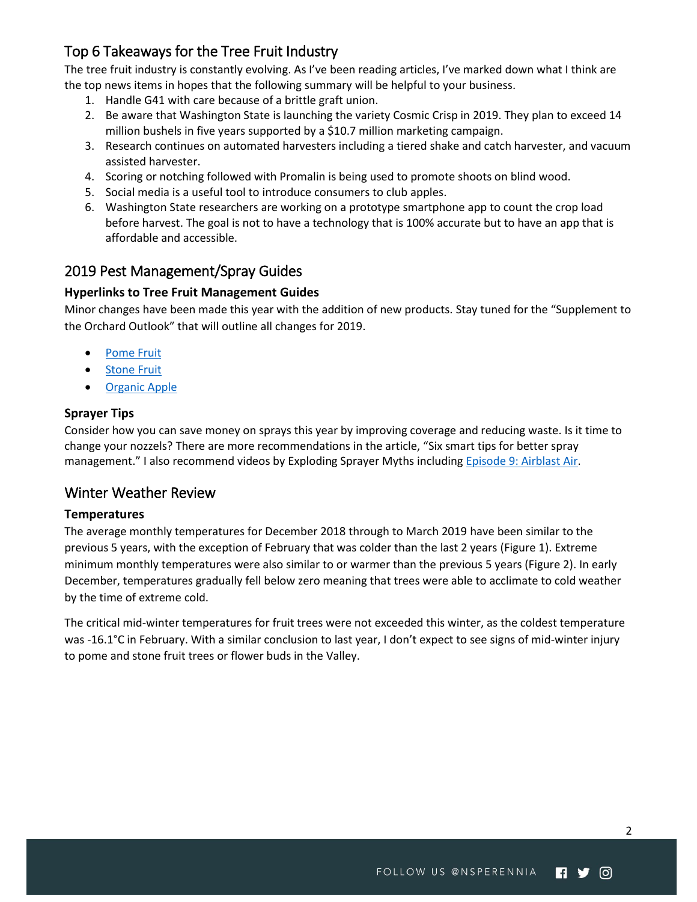## <span id="page-1-0"></span>Top 6 Takeaways for the Tree Fruit Industry

The tree fruit industry is constantly evolving. As I've been reading articles, I've marked down what I think are the top news items in hopes that the following summary will be helpful to your business.

- 1. Handle G41 with care because of a brittle graft union.
- 2. Be aware that Washington State is launching the variety Cosmic Crisp in 2019. They plan to exceed 14 million bushels in five years supported by a \$10.7 million marketing campaign.
- 3. Research continues on automated harvesters including a tiered shake and catch harvester, and vacuum assisted harvester.
- 4. Scoring or notching followed with Promalin is being used to promote shoots on blind wood.
- 5. Social media is a useful tool to introduce consumers to club apples.
- 6. Washington State researchers are working on a prototype smartphone app to count the crop load before harvest. The goal is not to have a technology that is 100% accurate but to have an app that is affordable and accessible.

## <span id="page-1-1"></span>2019 Pest Management/Spray Guides

## **Hyperlinks to Tree Fruit Management Guides**

Minor changes have been made this year with the addition of new products. Stay tuned for the "Supplement to the Orchard Outlook" that will outline all changes for 2019.

- **[Pome Fruit](https://www.perennia.ca/wp-content/uploads/2018/03/2019-Pome-Fruit-Spray-Guide_Final.pdf)**
- [Stone Fruit](https://www.perennia.ca/wp-content/uploads/2018/03/2019-Stone-Fruit-Spray-Guide_Final.pdf)
- [Organic Apple](https://www.perennia.ca/wp-content/uploads/2018/03/2019-Organic-Spray-Guide_Final.pdf)

### **Sprayer Tips**

Consider how you can save money on sprays this year by improving coverage and reducing waste. Is it time to change your nozzels? There are more recommendations in the article, "[Six smart tips for better spray](https://www.goodfruit.com/six-smart-tips-for-better-spray-management/)  [management](https://www.goodfruit.com/six-smart-tips-for-better-spray-management/)." I also recommend videos by Exploding Sprayer Myths including Episode 9: Airblast Air.

## <span id="page-1-2"></span>Winter Weather Review

## **Temperatures**

The average monthly temperatures for December 2018 through to March 2019 have been similar to the previous 5 years, with the exception of February that was colder than the last 2 years [\(Figure 1\)](#page-2-0). Extreme minimum monthly temperatures were also similar to or warmer than the previous 5 years [\(Figure 2\)](#page-2-1). In early December, temperatures gradually fell below zero meaning that trees were able to acclimate to cold weather by the time of extreme cold.

The critical mid-winter temperatures for fruit trees were not exceeded this winter, as the coldest temperature was -16.1°C in February. With a similar conclusion to last year, I don't expect to see signs of mid-winter injury to pome and stone fruit trees or flower buds in the Valley.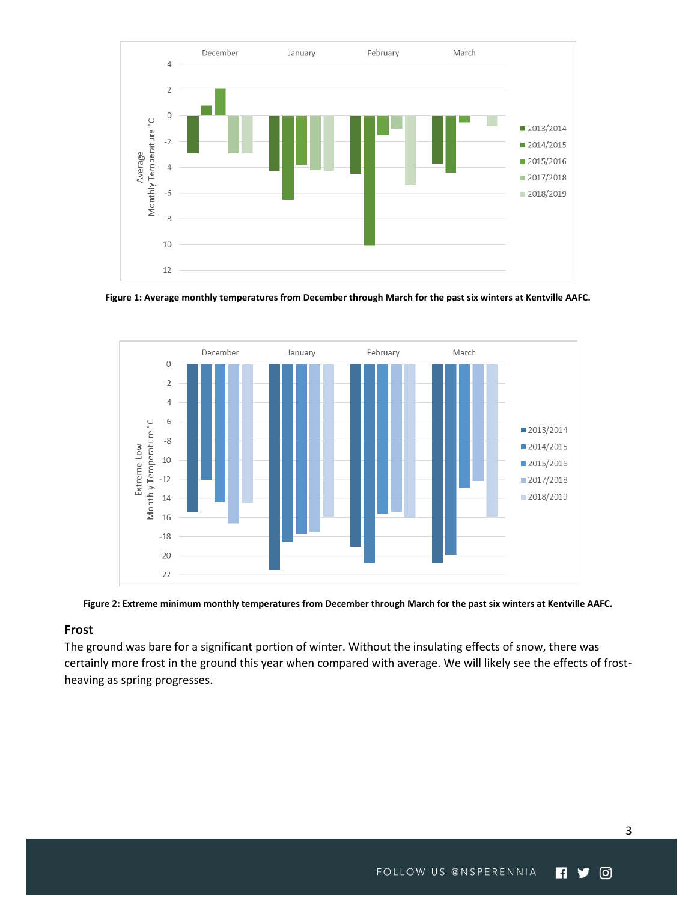

<span id="page-2-0"></span>**Figure 1: Average monthly temperatures from December through March for the past six winters at Kentville AAFC.**



<span id="page-2-1"></span>**Figure 2: Extreme minimum monthly temperatures from December through March for the past six winters at Kentville AAFC.**

#### **Frost**

The ground was bare for a significant portion of winter. Without the insulating effects of snow, there was certainly more frost in the ground this year when compared with average. We will likely see the effects of frostheaving as spring progresses.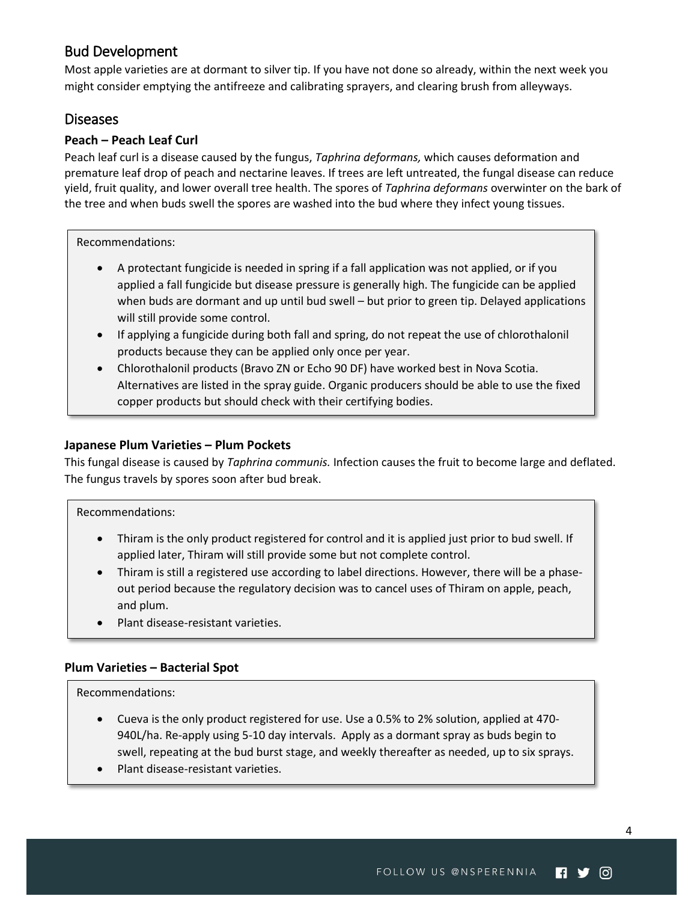## <span id="page-3-0"></span>Bud Development

Most apple varieties are at dormant to silver tip. If you have not done so already, within the next week you might consider emptying the antifreeze and calibrating sprayers, and clearing brush from alleyways.

## <span id="page-3-1"></span>Diseases

## **Peach – Peach Leaf Curl**

Peach leaf curl is a disease caused by the fungus, *Taphrina deformans,* which causes deformation and premature leaf drop of peach and nectarine leaves. If trees are left untreated, the fungal disease can reduce yield, fruit quality, and lower overall tree health. The spores of *Taphrina deformans* overwinter on the bark of the tree and when buds swell the spores are washed into the bud where they infect young tissues.

Recommendations:

- A protectant fungicide is needed in spring if a fall application was not applied, or if you applied a fall fungicide but disease pressure is generally high. The fungicide can be applied when buds are dormant and up until bud swell – but prior to green tip. Delayed applications will still provide some control.
- If applying a fungicide during both fall and spring, do not repeat the use of chlorothalonil products because they can be applied only once per year.
- Chlorothalonil products (Bravo ZN or Echo 90 DF) have worked best in Nova Scotia. Alternatives are listed in the spray guide. Organic producers should be able to use the fixed copper products but should check with their certifying bodies.

## **Japanese Plum Varieties – Plum Pockets**

This fungal disease is caused by *Taphrina communis.* Infection causes the fruit to become large and deflated. The fungus travels by spores soon after bud break.

#### Recommendations:

- Thiram is the only product registered for control and it is applied just prior to bud swell. If applied later, Thiram will still provide some but not complete control.
- Thiram is still a registered use according to label directions. However, there will be a phaseout period because the regulatory decision was to cancel uses of Thiram on apple, peach, and plum.
- Plant disease-resistant varieties.

#### **Plum Varieties – Bacterial Spot**

#### Recommendations:

- Cueva is the only product registered for use. Use a 0.5% to 2% solution, applied at 470- 940L/ha. Re-apply using 5-10 day intervals. Apply as a dormant spray as buds begin to swell, repeating at the bud burst stage, and weekly thereafter as needed, up to six sprays.
- Plant disease-resistant varieties.

4